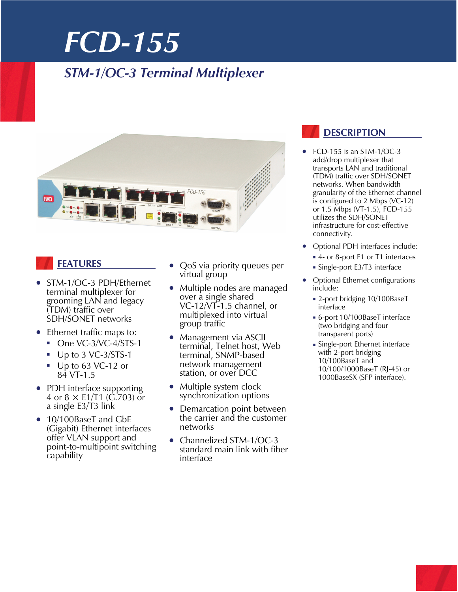## *STM-1/OC-3 Terminal Multiplexer*



## **FEATURES**

- STM-1/OC-3 PDH/Ethernet terminal multiplexer for grooming LAN and legacy (TDM) traffic over SDH/SONET networks
- Ethernet traffic maps to:
	- One VC-3/VC-4/STS-1
	- Up to 3 VC-3/STS-1
	- Up to 63 VC-12 or 84 VT-1.5
- PDH interface supporting 4 or  $8 \times$  E1/T1 (G.703) or a single E3/T3 link
- 10/100BaseT and GbE (Gigabit) Ethernet interfaces offer VLAN support and point-to-multipoint switching capability
- QoS via priority queues per virtual group
- Multiple nodes are managed over a single shared VC-12/VT-1.5 channel, or multiplexed into virtual group traffic
- Management via ASCII terminal, Telnet host, Web terminal, SNMP-based network management station, or over DCC
- Multiple system clock synchronization options
- Demarcation point between the carrier and the customer networks
- Channelized STM-1/OC-3 standard main link with fiber interface

### **DESCRIPTION**

- FCD-155 is an STM-1/OC-3 add/drop multiplexer that transports LAN and traditional (TDM) traffic over SDH/SONET networks. When bandwidth granularity of the Ethernet channel is configured to 2 Mbps (VC-12) or 1.5 Mbps (VT-1.5), FCD-155 utilizes the SDH/SONET infrastructure for cost-effective connectivity.
- Optional PDH interfaces include:
- 4- or 8-port E1 or T1 interfaces
	- Single-port E3/T3 interface
- Optional Ethernet configurations include:
	- 2-port bridging 10/100BaseT interface
	- 6-port 10/100BaseT interface (two bridging and four transparent ports)
	- Single-port Ethernet interface with 2-port bridging 10/100BaseT and 10/100/1000BaseT (RJ-45) or 1000BaseSX (SFP interface).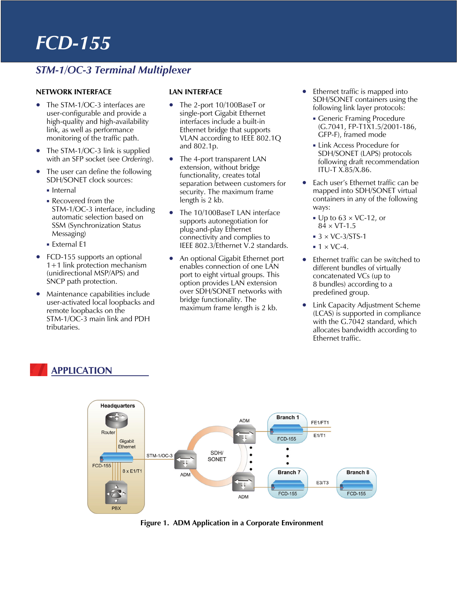## *STM-1/OC-3 Terminal Multiplexer*

#### **NETWORK INTERFACE**

- The STM-1/OC-3 interfaces are user-configurable and provide a high-quality and high-availability link, as well as performance monitoring of the traffic path.
- The STM-1/OC-3 link is supplied with an SFP socket (see *Ordering*).
- The user can define the following SDH/SONET clock sources:
	- **Internal**
	- Recovered from the STM-1/OC-3 interface, including automatic selection based on SSM (Synchronization Status Messaging)
	- **External E1**
- FCD-155 supports an optional 1+1 link protection mechanism (unidirectional MSP/APS) and SNCP path protection.
- Maintenance capabilities include user-activated local loopbacks and remote loopbacks on the STM-1/OC-3 main link and PDH tributaries.

#### **LAN INTERFACE**

- The 2-port 10/100BaseT or single-port Gigabit Ethernet interfaces include a built-in Ethernet bridge that supports VLAN according to IEEE 802.1Q and 802.1p.
- The 4-port transparent LAN extension, without bridge functionality, creates total separation between customers for security. The maximum frame length is 2 kb.
- The 10/100BaseT LAN interface supports autonegotiation for plug-and-play Ethernet connectivity and complies to IEEE 802.3/Ethernet V.2 standards.
- An optional Gigabit Ethernet port enables connection of one LAN port to eight virtual groups. This option provides LAN extension over SDH/SONET networks with bridge functionality. The maximum frame length is 2 kb.
- Ethernet traffic is mapped into SDH/SONET containers using the following link layer protocols:
	- Generic Framing Procedure (G.7041, FP-T1X1.5/2001-186, GFP-F), framed mode
	- Link Access Procedure for SDH/SONET (LAPS) protocols following draft recommendation ITU-T X.85/X.86.
- Each user's Ethernet traffic can be mapped into SDH/SONET virtual containers in any of the following ways:
	- $\bullet$  Up to 63  $\times$  VC-12, or  $84 \times VT - 1.5$
	- $\approx$  3  $\times$  VC-3/STS-1
	- $\blacksquare$  1 × VC-4.
- Ethernet traffic can be switched to different bundles of virtually concatenated VCs (up to 8 bundles) according to a predefined group.
- Link Capacity Adjustment Scheme (LCAS) is supported in compliance with the G.7042 standard, which allocates bandwidth according to Ethernet traffic.

### **APPLICATION**



**Figure 1. ADM Application in a Corporate Environment**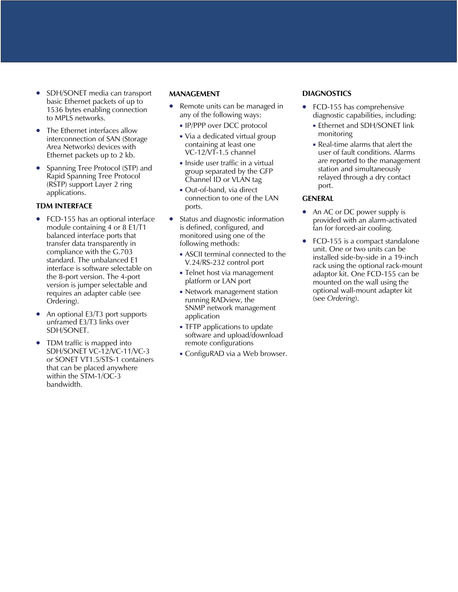- SDH/SONET media can transport basic Ethernet packets of up to 1536 bytes enabling connection to MPLS networks.
- The Ethernet interfaces allow interconnection of SAN (Storage Area Networks) devices with Ethernet packets up to 2 kb.
- Spanning Tree Protocol (STP) and Rapid Spanning Tree Protocol (RSTP) support Layer 2 ring applications.

#### **TDM INTERFACE**

- FCD-155 has an optional interface module containing 4 or 8 E1/T1 balanced interface ports that transfer data transparently in compliance with the G.703 standard. The unbalanced E1 interface is software selectable on the 8-port version. The 4-port version is jumper selectable and requires an adapter cable (see Ordering).
- An optional E3/T3 port supports unframed E3/T3 links over SDH/SONET.
- TDM traffic is mapped into SDH/SONET VC-12/VC-11/VC-3 or SONET VT1.5/STS-1 containers that can be placed anywhere within the STM-1/OC-3 bandwidth.

#### **MANAGEMENT**

- Remote units can be managed in any of the following ways:
	- **IP/PPP over DCC protocol**
	- Via a dedicated virtual group containing at least one VC-12/VT-1.5 channel
	- **Inside user traffic in a virtual** group separated by the GFP Channel ID or VLAN tag
	- Out-of-band, via direct connection to one of the LAN ports.
- Status and diagnostic information is defined, configured, and monitored using one of the following methods:
	- ASCII terminal connected to the V.24/RS-232 control port
	- Telnet host via management platform or LAN port
	- **Network management station** running RADview, the SNMP network management application
	- **TFTP** applications to update software and upload/download remote configurations
	- ConfiguRAD via a Web browser.

#### **DIAGNOSTICS**

- FCD-155 has comprehensive diagnostic capabilities, including:
	- **Ethernet and SDH/SONET link** monitoring
	- Real-time alarms that alert the user of fault conditions. Alarms are reported to the management station and simultaneously relayed through a dry contact port.

#### **GENERAL**

- An AC or DC power supply is provided with an alarm-activated fan for forced-air cooling.
- FCD-155 is a compact standalone unit. One or two units can be installed side-by-side in a 19-inch rack using the optional rack-mount adaptor kit. One FCD-155 can be mounted on the wall using the optional wall-mount adapter kit (see *Ordering*).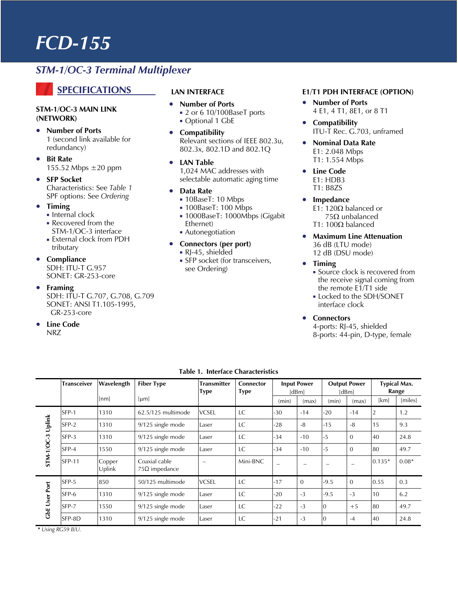### *STM-1/OC-3 Terminal Multiplexer*

### **SPECIFICATIONS**

#### **STM-1/OC-3 MAIN LINK (NETWORK)**

- **Number of Ports**  1 (second link available for redundancy)
- **Bit Rate**  155.52 Mbps ±20 ppm
- **SFP Socket**  Characteristics: See *Table 1* SPF options: See *Ordering*
- **Timing** 
	- $\blacksquare$  Internal clock
	- Recovered from the STM-1/OC-3 interface
	- External clock from PDH tributary
- **Compliance**  SDH: ITU-T G.957 SONET: GR-253-core
- **Framing** 
	- SDH: ITU-T G.707, G.708, G.709 SONET: ANSI T1.105-1995, GR-253-core
- **Line Code**  NRZ

#### **LAN INTERFACE**

- **Number of Ports**  ■ 2 or 6 10/100BaseT ports Optional 1 GbE
- **Compatibility**  Relevant sections of IEEE 802.3u, 802.3x, 802.1D and 802.1Q
- **LAN Table**  1,024 MAC addresses with selectable automatic aging time
- **Data Rate** 
	- 10BaseT: 10 Mbps
	- **100BaseT: 100 Mbps**
	- 1000BaseT: 1000Mbps (Gigabit Ethernet)
	- Autonegotiation
- **Connectors (per port)** 
	- RJ-45, shielded
	- **SFP** socket (for transceivers, see Ordering)

#### **E1/T1 PDH INTERFACE (OPTION)**

- **Number of Ports**  4 E1, 4 T1, 8E1, or 8 T1
- **Compatibility**  ITU-T Rec. G.703, unframed
- **Nominal Data Rate**  E1: 2.048 Mbps T1: 1.554 Mbps
- **Line Code**  E1: HDB3 T1: B8ZS
- **Impedance**  E1: 120Ω balanced or 75Ω unbalanced T1: 100Ω balanced
- **Maximum Line Attenuation**  36 dB (LTU mode) 12 dB (DSU mode)
- **Timing** 
	- **Source clock is recovered from** the receive signal coming from the remote E1/T1 side
	- **Locked to the SDH/SONET** interface clock
- **Connectors**

4-ports: RJ-45, shielded 8-ports: 44-pin, D-type, female

|                      | <b>Transceiver</b> | Wavelength       | <b>Fiber Type</b>                     | <b>Transmitter</b><br><b>Type</b> | <b>Connector</b><br><b>Type</b> | <b>Input Power</b><br>[dBm] |          | <b>Output Power</b><br><b>IdBml</b> |          | <b>Typical Max.</b><br>Range |         |
|----------------------|--------------------|------------------|---------------------------------------|-----------------------------------|---------------------------------|-----------------------------|----------|-------------------------------------|----------|------------------------------|---------|
|                      |                    | [nm]             | [µm]                                  |                                   |                                 | (min)                       | (max)    | (min)                               | (max)    | [km]                         | [miles] |
| Uplink<br>STM-1/OC-3 | SFP-1              | 1310             | 62.5/125 multimode                    | <b>VCSEL</b>                      | LC                              | $-30$                       | $-14$    | $-20$                               | $-14$    |                              | 1.2     |
|                      | SFP-2              | 1310             | $9/125$ single mode                   | Laser                             | LC                              | $-28$                       | -8       | $-15$                               | -8       | 15                           | 9.3     |
|                      | SFP-3              | 1310             | 9/125 single mode                     | Laser                             | LC                              | $-34$                       | $-10$    | -5                                  | $\Omega$ | 40                           | 24.8    |
|                      | SFP-4              | 1550             | 9/125 single mode                     | Laser                             | LC                              | $-34$                       | $-10$    | -5                                  | $\Omega$ | 80                           | 49.7    |
|                      | <b>SFP-11</b>      | Copper<br>Uplink | Coaxial cable<br>$75\Omega$ impedance |                                   | Mini-BNC                        |                             |          |                                     |          | $0.135*$                     | $0.08*$ |
| User Port<br>යි<br>ර | SFP-5              | 850              | 50/125 multimode                      | <b>VCSEL</b>                      | <b>LC</b>                       | $-17$                       | $\Omega$ | $-9.5$                              | $\Omega$ | 0.55                         | 0.3     |
|                      | SFP-6              | 1310             | $9/125$ single mode                   | Laser                             | LC                              | $-20$                       | $-3$     | $-9.5$                              | $-3$     | 10                           | 6.2     |
|                      | SFP-7              | 1550             | $9/125$ single mode                   | Laser                             | LC                              | $-22$                       | $-3$     | $\Omega$                            | $+5$     | 80                           | 49.7    |
|                      | SFP-8D             | 1310             | $9/125$ single mode                   | Laser                             | LC                              | $-21$                       | $-3$     | $\Omega$                            | $-4$     | 40                           | 24.8    |

**Table 1. Interface Characteristics** 

 *\* Using RG59 B/U.*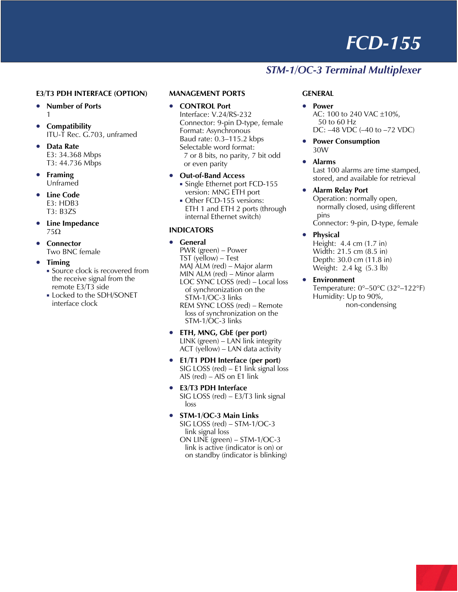## *STM-1/OC-3 Terminal Multiplexer*

#### **E3/T3 PDH INTERFACE (OPTION)**

- **Number of Ports**  1
- **Compatibility**  ITU-T Rec. G.703, unframed
- **Data Rate**  E3: 34.368 Mbps T3: 44.736 Mbps
- **Framing**  Unframed
- **Line Code**  E3: HDB3 T3: B3ZS
- **Line Impedance**  75Ω
- **Connector**  Two BNC female
- **Timing** 
	- **Source clock is recovered from** the receive signal from the remote E3/T3 side
	- **Locked to the SDH/SONET** interface clock

#### **MANAGEMENT PORTS**

- **CONTROL Port**  Interface: V.24/RS-232 Connector: 9-pin D-type, female Format: Asynchronous Baud rate: 0.3–115.2 kbps Selectable word format: 7 or 8 bits, no parity, 7 bit odd or even parity
- **Out-of-Band Access**  Single Ethernet port FCD-155
	- version: MNG ETH port Other FCD-155 versions: ETH 1 and ETH 2 ports (through internal Ethernet switch)

#### **INDICATORS**

- **General**  PWR (green) – Power TST (yellow) – Test MAJ ALM (red) – Major alarm MIN ALM (red) – Minor alarm LOC SYNC LOSS (red) – Local loss of synchronization on the STM-1/OC-3 links REM SYNC LOSS (red) – Remote loss of synchronization on the STM-1/OC-3 links
- **ETH, MNG, GbE (per port)**  LINK (green) – LAN link integrity ACT (yellow) – LAN data activity
- **E1/T1 PDH Interface (per port)**  SIG LOSS (red) – E1 link signal loss AIS (red) – AIS on E1 link
- **E3/T3 PDH Interface**  SIG LOSS (red) – E3/T3 link signal loss
- **STM-1/OC-3 Main Links**  SIG LOSS (red) – STM-1/OC-3 link signal loss ON LINE (green) – STM-1/OC-3 link is active (indicator is on) or on standby (indicator is blinking)

#### **GENERAL**

- **Power**  AC: 100 to 240 VAC ±10%, 50 to 60 Hz DC: –48 VDC (–40 to –72 VDC)
- **Power Consumption**  30W
- **Alarms**

Last 100 alarms are time stamped, stored, and available for retrieval

#### • **Alarm Relay Port**

Operation: normally open, normally closed, using different pins Connector: 9-pin, D-type, female

• **Physical** 

Height: 4.4 cm (1.7 in) Width: 21.5 cm (8.5 in) Depth: 30.0 cm (11.8 in) Weight: 2.4 kg (5.3 lb)

• **Environment**  Temperature: 0°–50°C (32°–122°F) Humidity: Up to 90%, non-condensing